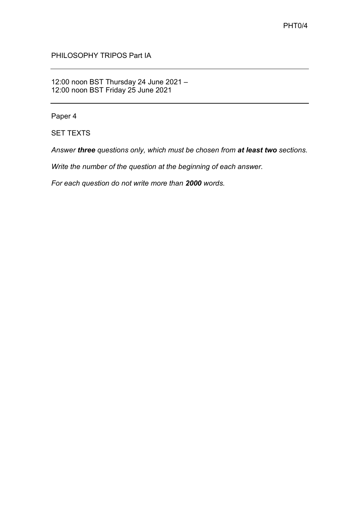PHILOSOPHY TRIPOS Part IA

12:00 noon BST Thursday 24 June 2021 – 12:00 noon BST Friday 25 June 2021

Paper 4

SET TEXTS

*Answer three questions only, which must be chosen from at least two sections.*

*Write the number of the question at the beginning of each answer.* 

*For each question do not write more than 2000 words.*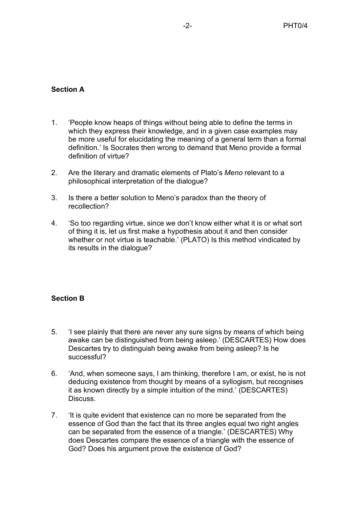## **Section A**

- 1. 'People know heaps of things without being able to define the terms in which they express their knowledge, and in a given case examples may be more useful for elucidating the meaning of a general term than a formal definition.' Is Socrates then wrong to demand that Meno provide a formal definition of virtue?
- 2. Are the literary and dramatic elements of Plato's *Meno* relevant to a philosophical interpretation of the dialogue?
- 3. Is there a better solution to Meno's paradox than the theory of recollection?
- 4. 'So too regarding virtue, since we don't know either what it is or what sort of thing it is, let us first make a hypothesis about it and then consider whether or not virtue is teachable.' (PLATO) Is this method vindicated by its results in the dialogue?

## **Section B**

- 5. 'I see plainly that there are never any sure signs by means of which being awake can be distinguished from being asleep.' (DESCARTES) How does Descartes try to distinguish being awake from being asleep? Is he successful?
- 6. 'And, when someone says, I am thinking, therefore I am, or exist, he is not deducing existence from thought by means of a syllogism, but recognises it as known directly by a simple intuition of the mind.' (DESCARTES) Discuss.
- 7. 'It is quite evident that existence can no more be separated from the essence of God than the fact that its three angles equal two right angles can be separated from the essence of a triangle.' (DESCARTES) Why does Descartes compare the essence of a triangle with the essence of God? Does his argument prove the existence of God?